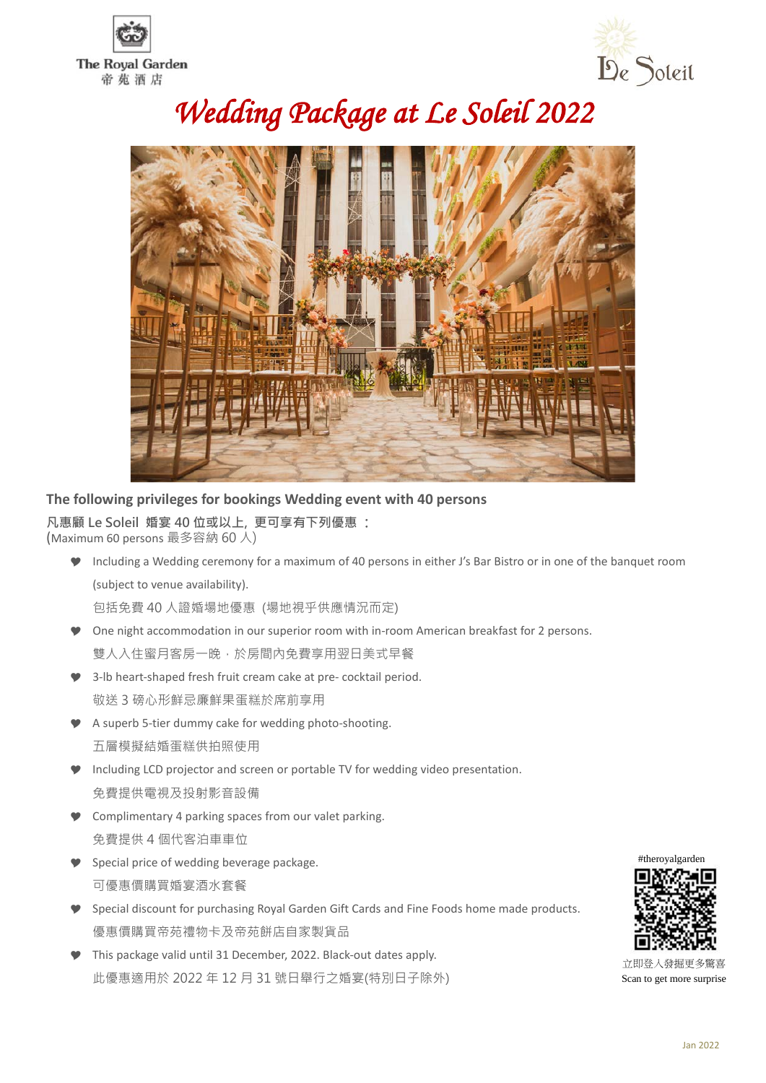



# *Wedding Package at Le Soleil 2022*



### **The following privileges for bookings Wedding event with 40 persons**

**凡惠顧 Le Soleil 婚宴 40 位或以上, 更可享有下列優惠** : (Maximum 60 persons 最多容納 60 人)

 Including a Wedding ceremony for a maximum of 40 persons in either J's Bar Bistro or in one of the banquet room (subject to venue availability).

包括免費 40 人證婚場地優惠 (場地視乎供應情況而定)

- One night accommodation in our superior room with in-room American breakfast for 2 persons. 雙人入住蜜月客房一晚,於房間内免費享用翌日美式早餐
- 3-lb heart-shaped fresh fruit cream cake at pre- cocktail period. 敬送 3 磅心形鮮忌廉鮮果蛋糕於席前享用
- A superb 5-tier dummy cake for wedding photo-shooting. 五層模擬結婚蛋糕供拍照使用
- Including LCD projector and screen or portable TV for wedding video presentation. 免費提供電視及投射影音設備
- **Complimentary 4 parking spaces from our valet parking.** 免費提供 4 個代客泊車車位
- **Special price of wedding beverage package.** 可優惠價購買婚宴酒水套餐
- Special discount for purchasing Royal Garden Gift Cards and Fine Foods home made products. 優惠價購買帝苑禮物卡及帝苑餅店自家製貨品
- This package valid until 31 December, 2022. Black-out dates apply. 此優惠適用於 2022 年 12 月 31 號日舉行之婚宴(特別日子除外)



 立即登入發掘更多驚喜 Scan to get more surprise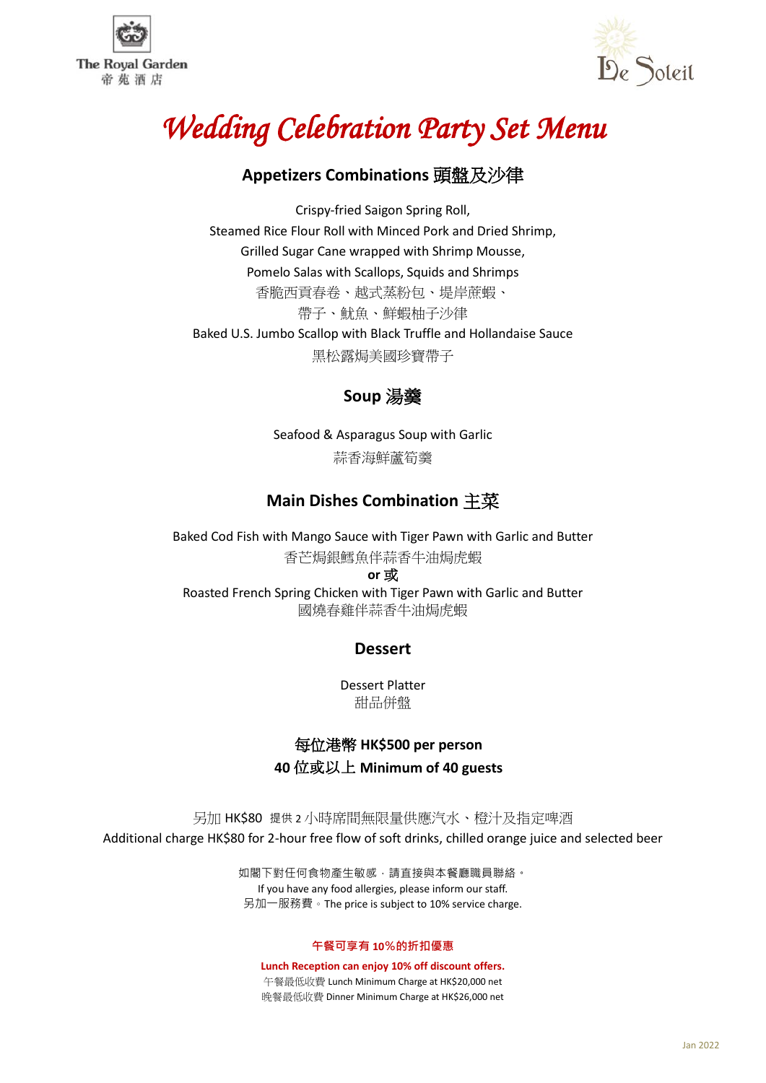



# *Wedding Celebration Party Set Menu*

## **Appetizers Combinations** 頭盤及沙律

Crispy-fried Saigon Spring Roll, Steamed Rice Flour Roll with Minced Pork and Dried Shrimp, Grilled Sugar Cane wrapped with Shrimp Mousse, Pomelo Salas with Scallops, Squids and Shrimps 香脆西貢春卷、越式蒸粉包、堤岸蔗蝦、 帶子、魷魚、鮮蝦柚子沙律 Baked U.S. Jumbo Scallop with Black Truffle and Hollandaise Sauce 黑松露焗美國珍寶帶子

## **Soup** 湯羹

Seafood & Asparagus Soup with Garlic 蒜香海鮮蘆筍羹

## **Main Dishes Combination** 主菜

Baked Cod Fish with Mango Sauce with Tiger Pawn with Garlic and Butter 香芒焗銀鱈魚伴蒜香牛油焗虎蝦 **or** 或

Roasted French Spring Chicken with Tiger Pawn with Garlic and Butter 國燒春雞伴蒜香牛油焗虎蝦

### **Dessert**

Dessert Platter 甜品併盤

## 每位港幣 **HK\$500 per person 40** 位或以上 **Minimum of 40 guests**

另加 HK\$80 提供 2 小時席間無限量供應汽水、橙汁及指定啤酒 Additional charge HK\$80 for 2-hour free flow of soft drinks, chilled orange juice and selected beer

> 如閣下對任何食物產生敏感,請直接與本餐廳職員聯絡。 If you have any food allergies, please inform our staff. 另加一服務費。The price is subject to 10% service charge.

#### **午餐可享有 10%的折扣優惠**

**Lunch Reception can enjoy 10% off discount offers.** 午餐最低收費 Lunch Minimum Charge at HK\$20,000 net 晚餐最低收費 Dinner Minimum Charge at HK\$26,000 net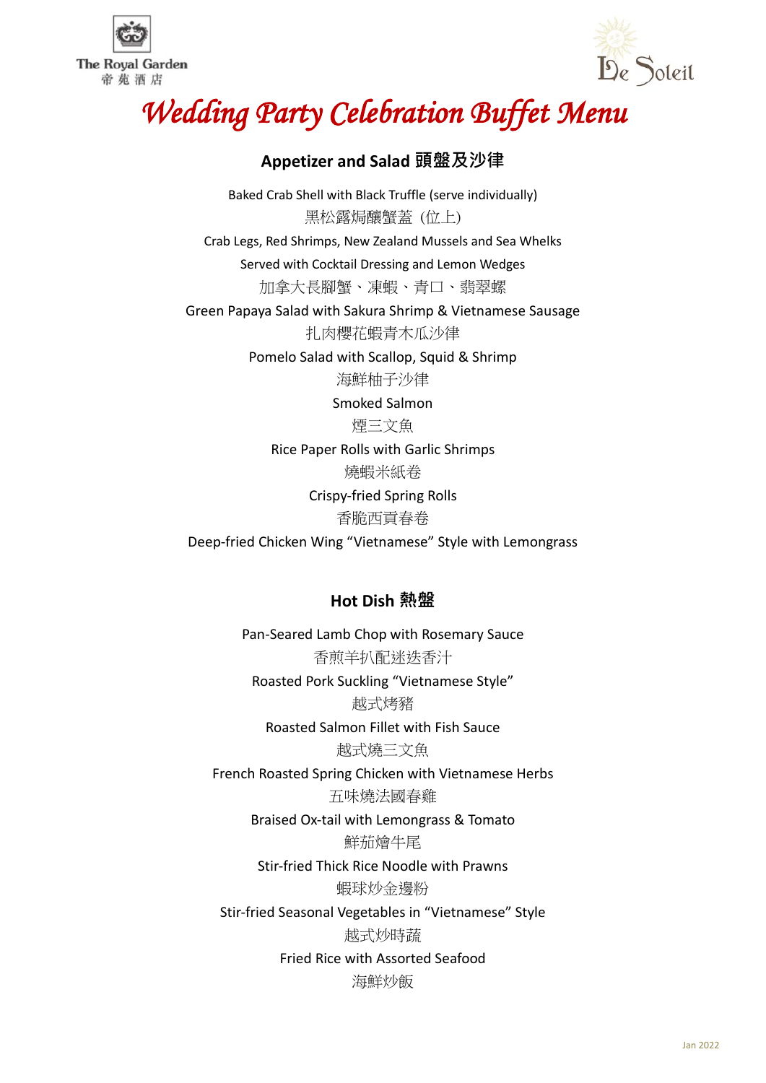



# *Wedding Party Celebration Buffet Menu*

## **Appetizer and Salad 頭盤及沙律**

Baked Crab Shell with Black Truffle (serve individually) 黑松露焗釀蟹蓋 (位上) Crab Legs, Red Shrimps, New Zealand Mussels and Sea Whelks Served with Cocktail Dressing and Lemon Wedges 加拿大長腳蟹、凍蝦、青口、翡翠螺 Green Papaya Salad with Sakura Shrimp & Vietnamese Sausage 扎肉櫻花蝦青木瓜沙律 Pomelo Salad with Scallop, Squid & Shrimp 海鮮柚子沙律 Smoked Salmon 煙三文魚 Rice Paper Rolls with Garlic Shrimps 燒蝦米紙卷 Crispy-fried Spring Rolls 香脆西貢春卷 Deep-fried Chicken Wing "Vietnamese" Style with Lemongrass

## **Hot Dish 熱盤**

Pan-Seared Lamb Chop with Rosemary Sauce 香煎羊扒配迷迭香汁 Roasted Pork Suckling "Vietnamese Style" 越式烤豬 Roasted Salmon Fillet with Fish Sauce 越式燒三文魚 French Roasted Spring Chicken with Vietnamese Herbs 五味燒法國春雞 Braised Ox-tail with Lemongrass & Tomato 鮮茄燴牛尾 Stir-fried Thick Rice Noodle with Prawns 蝦球炒金邊粉 Stir-fried Seasonal Vegetables in "Vietnamese" Style 越式炒時蔬 Fried Rice with Assorted Seafood 海鮮炒飯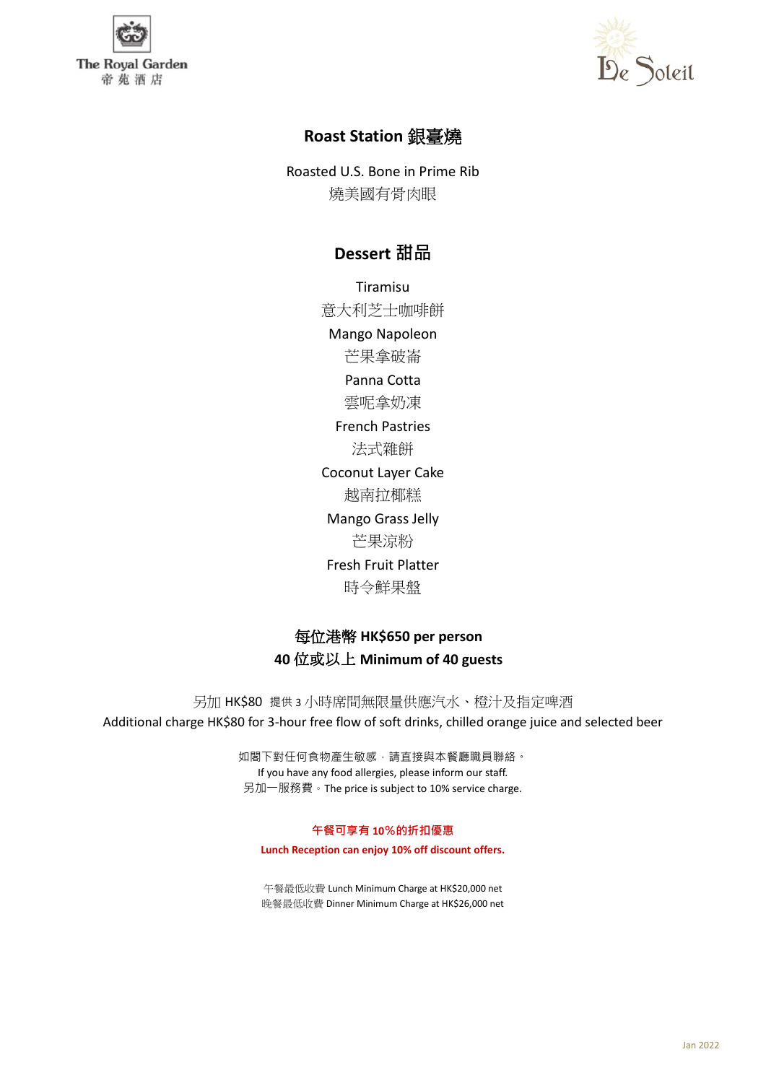



## **Roast Station** 銀臺燒

Roasted U.S. Bone in Prime Rib 燒美國有骨肉眼

## **Dessert 甜品**

Tiramisu

意大利芝士咖啡餅 Mango Napoleon 芒果拿破崙 Panna Cotta 雲呢拿奶凍 French Pastries 法式雜餅 Coconut Layer Cake 越南拉椰糕 Mango Grass Jelly 芒果涼粉 Fresh Fruit Platter 時令鮮果盤

## 每位港幣 **HK\$650 per person 40** 位或以上 **Minimum of 40 guests**

另加 HK\$80 提供 3 小時席間無限量供應汽水、橙汁及指定啤酒 Additional charge HK\$80 for 3-hour free flow of soft drinks, chilled orange juice and selected beer

> 如閣下對任何食物產生敏感,請直接與本餐廳職員聯絡。 If you have any food allergies, please inform our staff. 另加一服務費。The price is subject to 10% service charge.

#### **午餐可享有 10%的折扣優惠**

**Lunch Reception can enjoy 10% off discount offers.**

午餐最低收費 Lunch Minimum Charge at HK\$20,000 net 晚餐最低收費 Dinner Minimum Charge at HK\$26,000 net